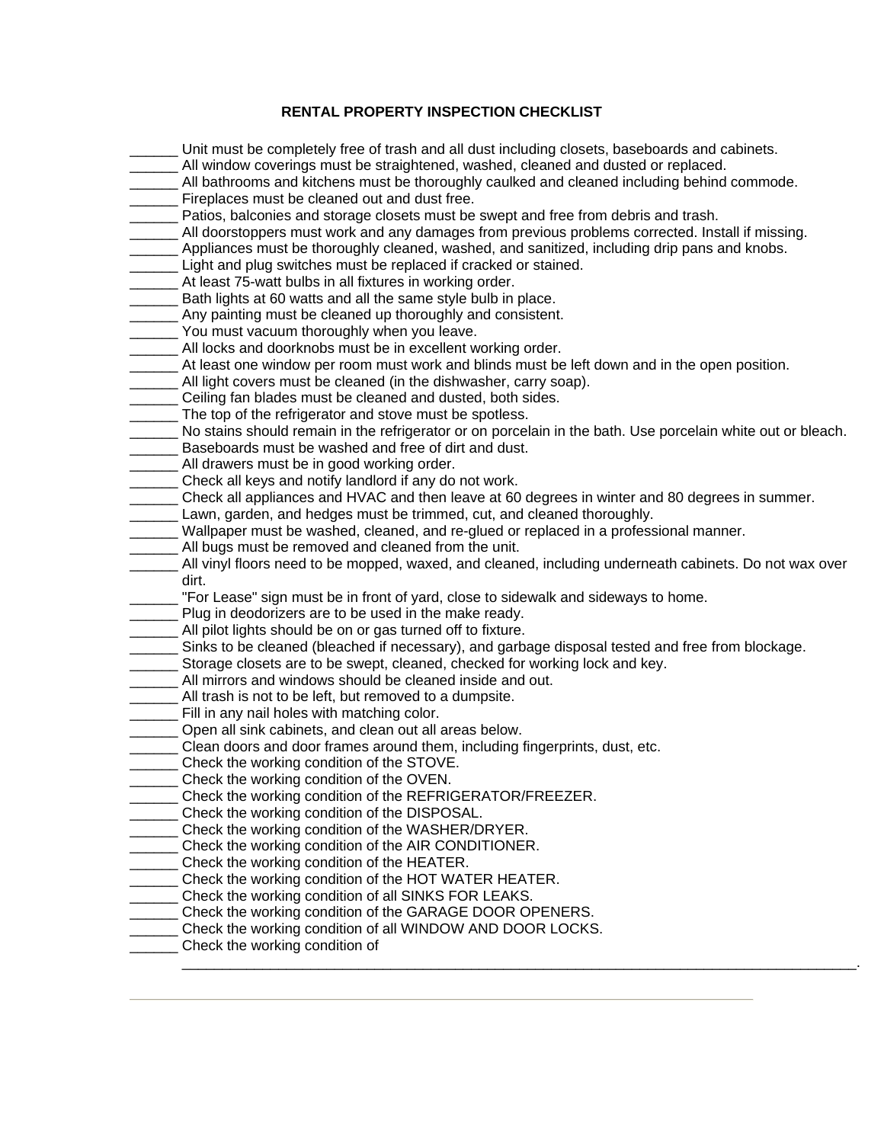## **RENTAL PROPERTY INSPECTION CHECKLIST**

- Unit must be completely free of trash and all dust including closets, baseboards and cabinets.
- \_\_\_\_\_\_ All window coverings must be straightened, washed, cleaned and dusted or replaced.
- All bathrooms and kitchens must be thoroughly caulked and cleaned including behind commode. **EXECUTE:** Fireplaces must be cleaned out and dust free.
- \_\_\_\_\_\_ Patios, balconies and storage closets must be swept and free from debris and trash.
- All doorstoppers must work and any damages from previous problems corrected. Install if missing.
- Appliances must be thoroughly cleaned, washed, and sanitized, including drip pans and knobs.
- \_\_\_\_\_\_ Light and plug switches must be replaced if cracked or stained.
- \_\_\_\_\_\_ At least 75-watt bulbs in all fixtures in working order.
- Bath lights at 60 watts and all the same style bulb in place.
- \_\_\_\_\_\_ Any painting must be cleaned up thoroughly and consistent.
- \_\_\_\_\_ You must vacuum thoroughly when you leave.
- All locks and doorknobs must be in excellent working order.
- \_\_\_\_\_\_ At least one window per room must work and blinds must be left down and in the open position.
- \_\_\_\_\_\_ All light covers must be cleaned (in the dishwasher, carry soap).
- **EXECUTE:** Ceiling fan blades must be cleaned and dusted, both sides.
- The top of the refrigerator and stove must be spotless.
- No stains should remain in the refrigerator or on porcelain in the bath. Use porcelain white out or bleach.
- Baseboards must be washed and free of dirt and dust.
- \_\_\_\_\_\_ All drawers must be in good working order.
- \_\_\_\_\_\_ Check all keys and notify landlord if any do not work.
- \_\_\_\_\_\_ Check all appliances and HVAC and then leave at 60 degrees in winter and 80 degrees in summer.
- \_\_\_\_\_\_ Lawn, garden, and hedges must be trimmed, cut, and cleaned thoroughly.
- Wallpaper must be washed, cleaned, and re-glued or replaced in a professional manner.
- \_\_\_\_\_\_ All bugs must be removed and cleaned from the unit.
- \_\_\_\_\_\_ All vinyl floors need to be mopped, waxed, and cleaned, including underneath cabinets. Do not wax over dirt.
- "For Lease" sign must be in front of yard, close to sidewalk and sideways to home.
- Plug in deodorizers are to be used in the make ready.
- \_\_\_\_\_\_ All pilot lights should be on or gas turned off to fixture.
- \_\_\_\_\_\_ Sinks to be cleaned (bleached if necessary), and garbage disposal tested and free from blockage.
- \_\_\_\_\_\_ Storage closets are to be swept, cleaned, checked for working lock and key.
- \_\_\_\_\_\_ All mirrors and windows should be cleaned inside and out.
- All trash is not to be left, but removed to a dumpsite.
- Fill in any nail holes with matching color.
- \_\_\_\_\_\_ Open all sink cabinets, and clean out all areas below.
- \_\_\_\_\_\_ Clean doors and door frames around them, including fingerprints, dust, etc.
- **Check the working condition of the STOVE.**
- \_\_\_\_\_\_ Check the working condition of the OVEN.
- Check the working condition of the REFRIGERATOR/FREEZER.
- \_\_\_\_\_\_ Check the working condition of the DISPOSAL.
- \_\_\_\_\_\_ Check the working condition of the WASHER/DRYER.
- \_\_\_\_\_\_ Check the working condition of the AIR CONDITIONER.
- \_\_\_\_ Check the working condition of the HEATER.
- Check the working condition of the HOT WATER HEATER.
- \_\_\_\_\_\_ Check the working condition of all SINKS FOR LEAKS.
- \_\_\_\_ Check the working condition of the GARAGE DOOR OPENERS.
- \_\_\_\_\_\_ Check the working condition of all WINDOW AND DOOR LOCKS.
- **\_\_\_\_\_\_** Check the working condition of \_\_\_\_\_\_\_\_\_\_\_\_\_\_\_\_\_\_\_\_\_\_\_\_\_\_\_\_\_\_\_\_\_\_\_\_\_\_\_\_\_\_\_\_\_\_\_\_\_\_\_\_\_\_\_\_\_\_\_\_\_\_\_\_\_\_\_\_\_\_\_\_\_\_\_\_\_\_\_\_\_\_\_\_.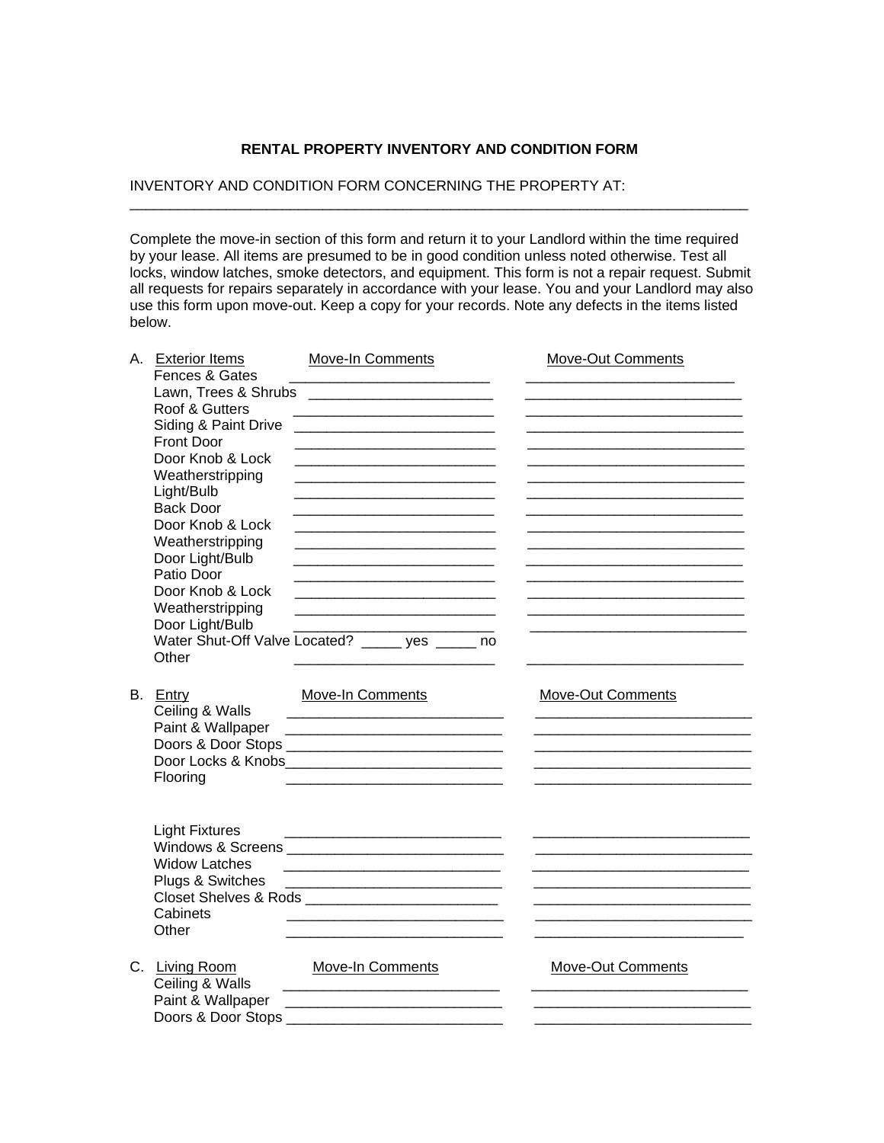#### **RENTAL PROPERTY INVENTORY AND CONDITION FORM**

\_\_\_\_\_\_\_\_\_\_\_\_\_\_\_\_\_\_\_\_\_\_\_\_\_\_\_\_\_\_\_\_\_\_\_\_\_\_\_\_\_\_\_\_\_\_\_\_\_\_\_\_\_\_\_\_\_\_\_\_\_\_\_\_\_\_\_\_\_\_\_\_\_\_\_\_\_

### INVENTORY AND CONDITION FORM CONCERNING THE PROPERTY AT:

Complete the move-in section of this form and return it to your Landlord within the time required by your lease. All items are presumed to be in good condition unless noted otherwise. Test all locks, window latches, smoke detectors, and equipment. This form is not a repair request. Submit all requests for repairs separately in accordance with your lease. You and your Landlord may also use this form upon move-out. Keep a copy for your records. Note any defects in the items listed below.

| A. Exterior Items     | <b>Move-In Comments</b>                                                                                              | <b>Move-Out Comments</b> |
|-----------------------|----------------------------------------------------------------------------------------------------------------------|--------------------------|
| Fences & Gates        |                                                                                                                      |                          |
|                       |                                                                                                                      |                          |
| Roof & Gutters        |                                                                                                                      |                          |
| Siding & Paint Drive  |                                                                                                                      |                          |
| Front Door            | <u> 1980 - Johann Barbara, martin da kasar Amerikaan kasar dan bahasa dalam kasar dalam kasar dalam kasar dalam </u> |                          |
| Door Knob & Lock      |                                                                                                                      |                          |
| Weatherstripping      | <u> 1989 - Johann Barbara, martin amerikan basar dan bagian dalam basar dalam basar dalam basar dalam basar dala</u> |                          |
| Light/Bulb            |                                                                                                                      |                          |
| <b>Back Door</b>      |                                                                                                                      |                          |
| Door Knob & Lock      |                                                                                                                      |                          |
| Weatherstripping      |                                                                                                                      |                          |
| Door Light/Bulb       |                                                                                                                      |                          |
| Patio Door            |                                                                                                                      |                          |
| Door Knob & Lock      | <u> 1989 - Johann Barbara, martin amerikan basar dan berasal dalam basa dalam basar dalam basar dalam basa dalam</u> |                          |
| Weatherstripping      | <u> 1989 - Johann Barbara, martxa alemaniar arg</u>                                                                  |                          |
| Door Light/Bulb       | <u> 2002 - Jan James James Barnett, fizik eta idazleari (</u>                                                        |                          |
|                       | Water Shut-Off Valve Located? _____ yes ____ no                                                                      |                          |
| Other                 |                                                                                                                      |                          |
|                       |                                                                                                                      |                          |
| B. Entry              | <b>Move-In Comments</b>                                                                                              | <b>Move-Out Comments</b> |
| Ceiling & Walls       |                                                                                                                      |                          |
| Paint & Wallpaper     |                                                                                                                      |                          |
|                       |                                                                                                                      |                          |
|                       |                                                                                                                      |                          |
| Flooring              |                                                                                                                      |                          |
|                       |                                                                                                                      |                          |
|                       |                                                                                                                      |                          |
| <b>Light Fixtures</b> | <u> 2008 - Jan James James Barnett, mengang pada pada 2008 atau pada 2008 Ang Pangalang Barnett at Barnett at Ba</u> |                          |
|                       |                                                                                                                      |                          |
| <b>Widow Latches</b>  |                                                                                                                      |                          |
| Plugs & Switches      |                                                                                                                      |                          |
|                       |                                                                                                                      |                          |
| Cabinets              |                                                                                                                      |                          |
| Other                 |                                                                                                                      |                          |
|                       |                                                                                                                      |                          |
| C. Living Room        | <b>Move-In Comments</b>                                                                                              | <b>Move-Out Comments</b> |
| Ceiling & Walls       |                                                                                                                      |                          |
| Paint & Wallpaper     | <u> 1989 - Johann John Stein, mars an deutscher Stein († 1950)</u>                                                   |                          |
| Doors & Door Stops __ |                                                                                                                      |                          |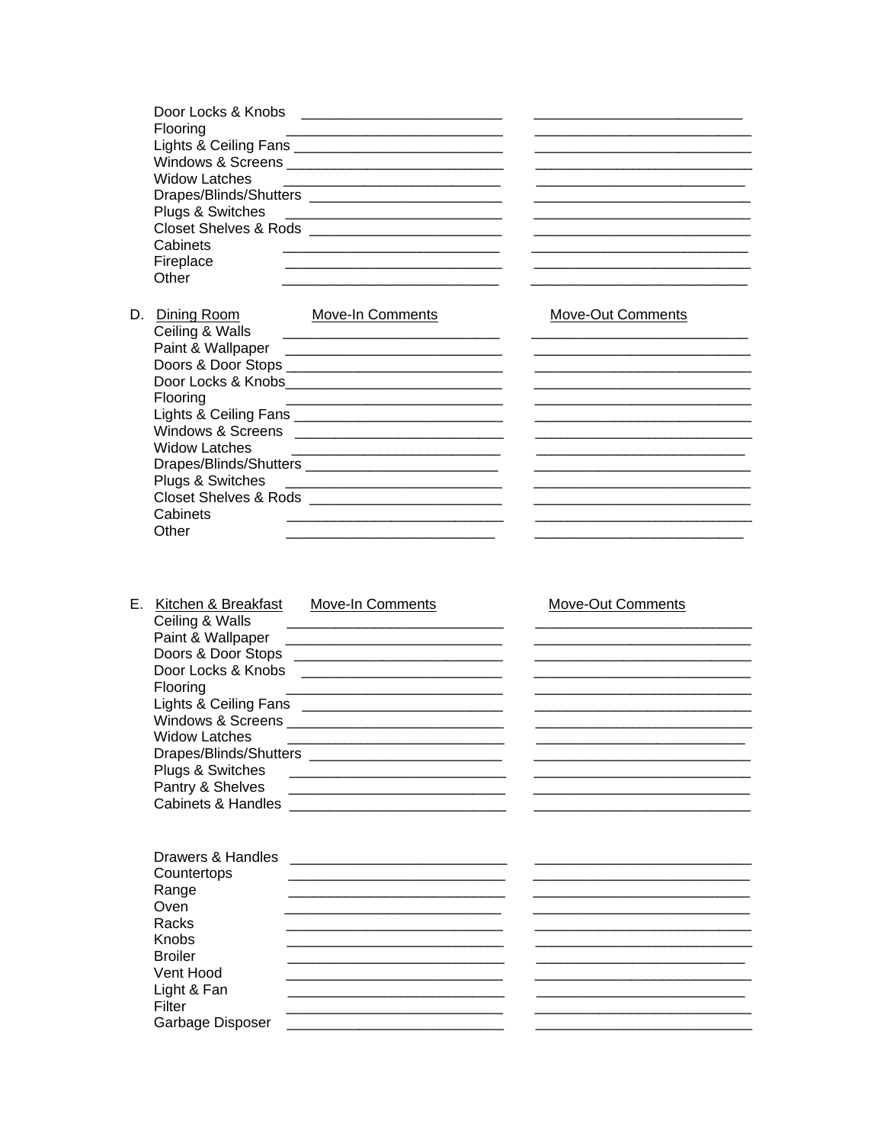| Door Locks & Knobs                |  |
|-----------------------------------|--|
| Flooring                          |  |
| Lights & Ceiling Fans ________    |  |
| Windows & Screens _______________ |  |
| <b>Widow Latches</b>              |  |
|                                   |  |
| Plugs & Switches                  |  |
| <b>Closet Shelves &amp; Rods</b>  |  |
| Cabinets                          |  |
| Fireplace                         |  |
| Other                             |  |

Move-Out Comments

<u> 1980 - Jan James James James James James James James James James James James James James James James James J</u>

<u> 1980 - Jan James James Barnett, martin de la populación de la propia de la propia de la propia de la propia d</u> 

<u> 1989 - Jan James James James James James James James James James James James James James James James James J</u> 

| Dining Room                             | Move-In Comments |
|-----------------------------------------|------------------|
| Ceiling & Walls                         |                  |
| Paint & Wallpaper                       |                  |
|                                         |                  |
| Door Locks & Knobs                      |                  |
| Flooring                                |                  |
| Lights & Ceiling Fans _________________ |                  |
| Windows & Screens                       |                  |
| Widow Latches                           |                  |
| Drapes/Blinds/Shutters _____            |                  |
| Plugs & Switches                        |                  |
| Closet Shelves & Rods                   |                  |
| Cabinets                                |                  |
| Other                                   |                  |
|                                         |                  |

Light & Fan

Filter

#### E. Kitchen & Breakfast Move-In Comments Move-Out Comments Door Locks & Knobs \_\_\_\_\_\_\_\_\_\_\_\_\_\_\_\_\_\_\_\_\_\_\_\_\_\_ Flooring Lights & Ceiling Fans \_\_\_\_\_\_\_\_\_\_\_\_\_\_\_\_\_\_\_\_\_\_\_\_\_\_\_\_\_\_\_ Windows & Screens \_\_\_\_\_\_\_\_\_\_\_\_\_\_\_\_\_\_\_\_\_\_\_\_\_\_\_\_\_\_\_\_\_ **Widow Latches** <u> 1980 - Andrea Brand, amerikansk politik (</u> Plugs & Switches \_\_\_\_\_\_\_\_\_\_\_\_\_\_\_\_\_\_\_\_\_\_\_\_\_\_\_\_\_\_\_\_\_ Pantry & Shelves Cabinets & Handles **Exercísion Cabinets** & Handles Drawers & Handles <u> 2000 - Jan James James Jan James James James James James James James James James James James James James James Ja</u> Countertops Range Oven Racks Knobs **Broiler** Vent Hood

Garbage Disposer \_\_\_\_\_\_\_\_\_\_\_\_\_\_\_\_\_\_\_\_\_\_\_\_\_\_\_\_\_\_\_\_\_\_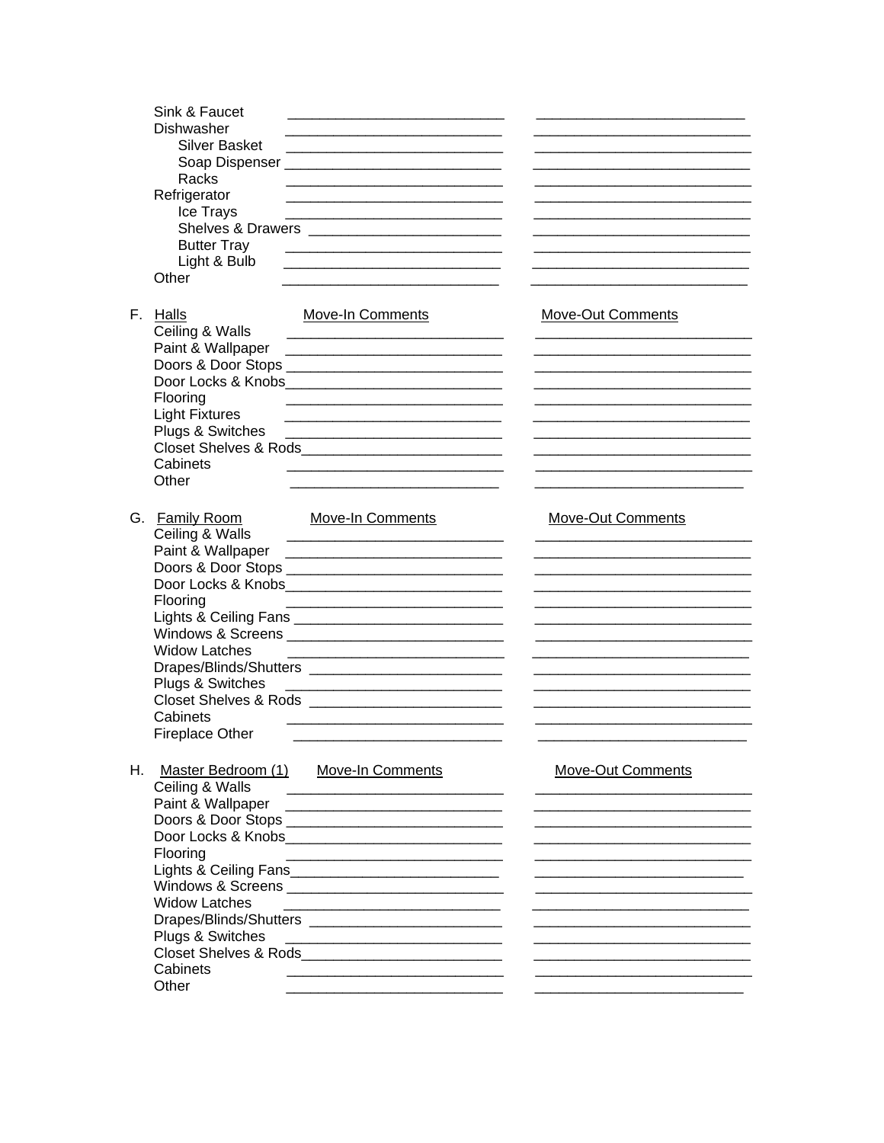|    | Sink & Faucet<br>Dishwasher<br><b>Silver Basket</b><br>Racks<br>Refrigerator<br>Ice Trays<br><b>Butter Tray</b><br>Light & Bulb                      | <u> 1989 - Johann Barbara, martin da kasar Amerikaan kasar dan bahasa dalam kasar dalam kasar dalam kasar dalam </u>                                                                                                                                         |                          |
|----|------------------------------------------------------------------------------------------------------------------------------------------------------|--------------------------------------------------------------------------------------------------------------------------------------------------------------------------------------------------------------------------------------------------------------|--------------------------|
|    | Other<br>F. Halls<br>Ceiling & Walls<br>Paint & Wallpaper                                                                                            | Move-In Comments<br><u> The Communication of the Communication of the Communication of the Communication of the Communication of the Co</u>                                                                                                                  | Move-Out Comments        |
|    | Flooring<br><b>Light Fixtures</b><br>Plugs & Switches<br>Cabinets<br>Other                                                                           | Closet Shelves & Rods <b>Example 20</b> Shelves & Rods                                                                                                                                                                                                       |                          |
|    | G. Family Room<br>Ceiling & Walls<br>Paint & Wallpaper<br>Flooring<br><b>Widow Latches</b><br>Plugs & Switches<br>Cabinets<br><b>Fireplace Other</b> | Move-In Comments<br>Door Locks & Knobs_______________________________                                                                                                                                                                                        | Move-Out Comments        |
| Н. | Master Bedroom (1)<br>Ceiling & Walls<br>Flooring<br><b>Widow Latches</b><br>Plugs & Switches<br>Cabinets<br>Other                                   | <b>Move-In Comments</b><br>Door Locks & Knobs________________________________<br>Lights & Ceiling Fans______________________________<br><u> Alexandria de la contrada de la contrada de la contrada de la contrada de la contrada de la contrada de la c</u> | <b>Move-Out Comments</b> |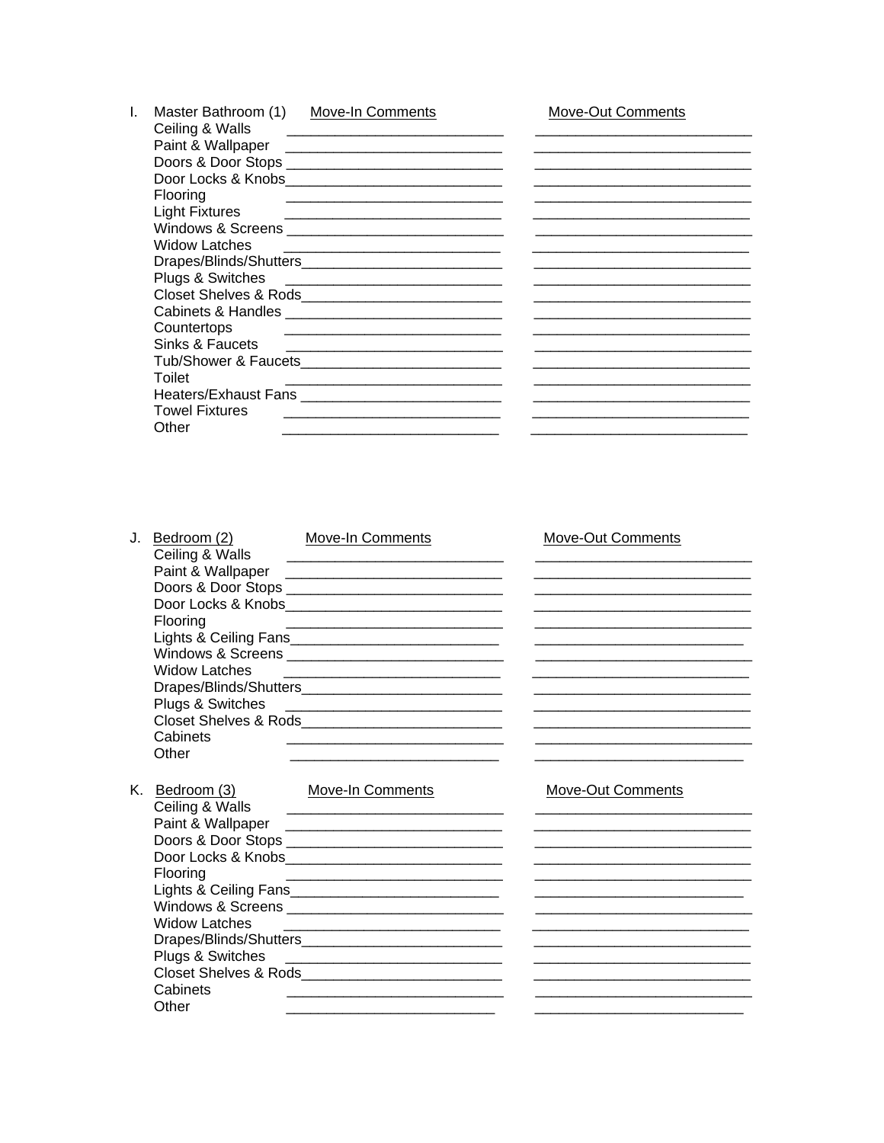| Ceiling & Walls       | <b>Move-In Comments</b>                                                                                               | Move-Out Comments |
|-----------------------|-----------------------------------------------------------------------------------------------------------------------|-------------------|
| Paint & Wallpaper     | <u> 1980 - Jan Barbara, martxa al II-lea (h. 1980).</u>                                                               |                   |
|                       |                                                                                                                       |                   |
|                       | Door Locks & Knobs _______________________________                                                                    |                   |
| Flooring              |                                                                                                                       |                   |
| <b>Light Fixtures</b> | <u> 1989 - Johann Barbara, martin da basar da basar da basar da basar da basar da basar da basar da basar da basa</u> |                   |
|                       | Windows & Screens _________________________________                                                                   |                   |
| <b>Widow Latches</b>  | <u> 1980 - Johann Barnett, fransk politiker (d. 1980)</u>                                                             |                   |
|                       |                                                                                                                       |                   |
|                       |                                                                                                                       |                   |
|                       |                                                                                                                       |                   |
|                       |                                                                                                                       |                   |
| Countertops           |                                                                                                                       |                   |
| Sinks & Faucets       |                                                                                                                       |                   |
|                       |                                                                                                                       |                   |
| Toilet                | <u> 1980 - Johann John Stein, mars an deus Amerikaansk kommunister (* 1950)</u>                                       |                   |
|                       | Heaters/Exhaust Fans                                                                                                  |                   |
| <b>Towel Fixtures</b> |                                                                                                                       |                   |
| Other                 |                                                                                                                       |                   |

| J. Bedroom (2)<br>Ceiling & Walls<br>Flooring<br><b>Widow Latches</b><br>Cabinets<br>Other | <b>Move-In Comments</b><br><u> 1989 - Johann John Stone, markin sanadi a shekara 1980 - An tsa a shekara 1980 - An tsa a shekara 1980 - An t</u><br>Windows & Screens __________________________________<br><u> 1989 - Johann Stoff, deutscher Stoffen und der Stoffen und der Stoffen und der Stoffen und der Stoffen und der</u> | Move-Out Comments        |
|--------------------------------------------------------------------------------------------|------------------------------------------------------------------------------------------------------------------------------------------------------------------------------------------------------------------------------------------------------------------------------------------------------------------------------------|--------------------------|
| K. Bedroom (3)<br>Ceiling & Walls<br>Flooring<br><b>Widow Latches</b><br>Cabinets<br>Other | <b>Move-In Comments</b><br><u> 1989 - Johann Harry Barn, mars ar y brening ar y brening ar y brening ar y brening ar y brening ar y brening</u><br>Doors & Door Stops ________________________________<br><u> 2001 - Jan Samuel Barnett, mensk politik (d. 1982)</u>                                                               | <b>Move-Out Comments</b> |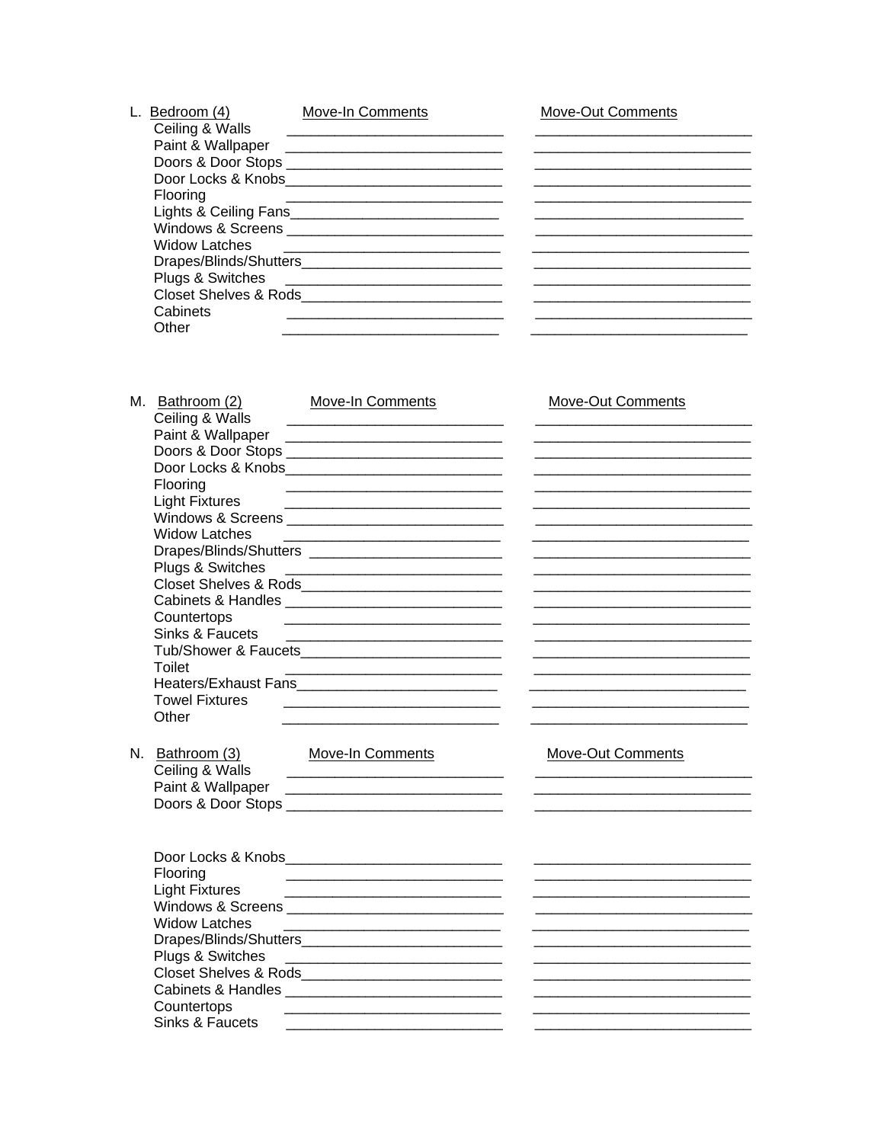| Bedroom (4)          | <b>Move-In Comments</b>                                | Move-Out Comments |
|----------------------|--------------------------------------------------------|-------------------|
| Ceiling & Walls      |                                                        |                   |
| Paint & Wallpaper    |                                                        |                   |
|                      | Doors & Door Stops ___________________________________ |                   |
|                      | Door Locks & Knobs_________________________________    |                   |
| Flooring             |                                                        |                   |
|                      | Lights & Ceiling Fans                                  |                   |
|                      |                                                        |                   |
| <b>Widow Latches</b> |                                                        |                   |
|                      |                                                        |                   |
| Plugs & Switches     |                                                        |                   |
|                      |                                                        |                   |
| Cabinets             |                                                        |                   |
| Other                |                                                        |                   |
|                      |                                                        |                   |

| M. Bathroom (2)<br>Ceiling & Walls | Move-In Comments                                                                                                                                                                                                                     | <b>Move-Out Comments</b> |
|------------------------------------|--------------------------------------------------------------------------------------------------------------------------------------------------------------------------------------------------------------------------------------|--------------------------|
|                                    |                                                                                                                                                                                                                                      |                          |
|                                    | Doors & Door Stops ________________________________                                                                                                                                                                                  |                          |
|                                    | Door Locks & Knobs______________________________                                                                                                                                                                                     |                          |
| Flooring                           |                                                                                                                                                                                                                                      |                          |
| Light Fixtures                     |                                                                                                                                                                                                                                      |                          |
|                                    |                                                                                                                                                                                                                                      |                          |
| <b>Widow Latches</b>               | <u> 1989 - Johann Barn, mars eta bat erroman erroman erroman erroman erroman erroman erroman erroman erroman err</u>                                                                                                                 |                          |
|                                    |                                                                                                                                                                                                                                      |                          |
| Plugs & Switches                   |                                                                                                                                                                                                                                      |                          |
|                                    | Closet Shelves & Rods<br><u>Land Closet Shelves &amp; Rods</u>                                                                                                                                                                       |                          |
|                                    |                                                                                                                                                                                                                                      |                          |
| Countertops                        | <u> 2008 - Jan James James James James James James James James James James James James James James James James J</u>                                                                                                                 |                          |
| Sinks & Faucets                    | <u> Territoria de la contenentación de la contenentación de la contenentación de la contenentación de la contenentación de la contenentación de la contenentación de la contenentación de la contenentación de la contenentación</u> |                          |
|                                    |                                                                                                                                                                                                                                      |                          |
| <b>Toilet</b>                      |                                                                                                                                                                                                                                      |                          |
|                                    |                                                                                                                                                                                                                                      |                          |
| <b>Towel Fixtures</b>              |                                                                                                                                                                                                                                      |                          |
| Other                              | <u> 1980 - Johann John Stein, fransk politiker (d. 1980)</u>                                                                                                                                                                         |                          |
|                                    |                                                                                                                                                                                                                                      |                          |
| N. Bathroom (3)                    | <b>Move-In Comments</b>                                                                                                                                                                                                              | Move-Out Comments        |
| Ceiling & Walls                    | <u> 1989 - Johann Stein, marwolaethau a bhann an t-</u>                                                                                                                                                                              |                          |
|                                    |                                                                                                                                                                                                                                      |                          |
|                                    |                                                                                                                                                                                                                                      |                          |
|                                    |                                                                                                                                                                                                                                      |                          |
|                                    |                                                                                                                                                                                                                                      |                          |
|                                    |                                                                                                                                                                                                                                      |                          |
| Flooring                           |                                                                                                                                                                                                                                      |                          |
| <b>Light Fixtures</b>              |                                                                                                                                                                                                                                      |                          |
|                                    |                                                                                                                                                                                                                                      |                          |
| <b>Widow Latches</b>               |                                                                                                                                                                                                                                      |                          |
|                                    |                                                                                                                                                                                                                                      |                          |
| Plugs & Switches                   |                                                                                                                                                                                                                                      |                          |
|                                    |                                                                                                                                                                                                                                      |                          |
|                                    |                                                                                                                                                                                                                                      |                          |
| Countertops                        |                                                                                                                                                                                                                                      |                          |
| Sinks & Faucets                    |                                                                                                                                                                                                                                      |                          |
|                                    |                                                                                                                                                                                                                                      |                          |